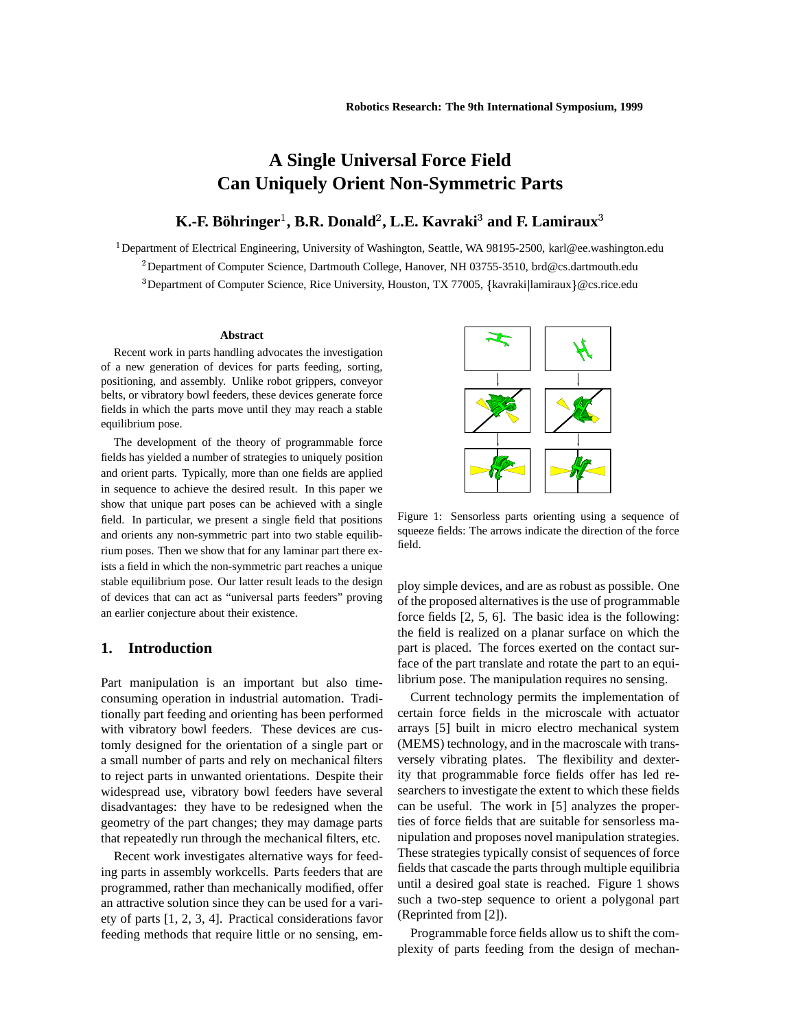# **A Single U niversal Force Field Can Uniquely Orient Non-Symmetric Parts**

## $\mathbf{K}$ .-F. Böhringer $^1$ , B.R. Donald $^2$ , L.E. Kavraki $^3$  and F. Lamiraux $^3$

<sup>1</sup> Department of Electrical Engineering, University of Washington, Seattle, WA 98195-2500, karl@ee.washington.edu <sup>2</sup> Department of Computer Science, Dartmouth College, Hanover, NH 03755-3510, brd@cs.dartmouth.edu <sup>3</sup>Department of Computer Science, Rice University, Houston, TX 77005, {kavraki|lamiraux}@cs.rice.edu

#### **Abstract**

Recent work in parts handling advocates the investigation of a new generation of devices for parts feeding, sorting, positioning, and assembly. Unlike robot grippers, conveyor belts, or vibratory bowl feeders, these devices generate force fields in which the parts move until they may reach a stable equilibrium pose.

The development of the theory of programmable force fields has yielded a number of strategies to uniquely position and orient parts. Typically, more than one fields are applied in sequence to achieve the desired result. In this paper we show that unique part poses can be achieved with a single field. In particular, we present a single field that positions and orients any non-symmetric part into two stable equilibrium poses. Then we show that for any laminar part there exists a field in which the non-symmetric part reaches a unique stable equilibrium pose. Our latter result leads to the design of devices that can act as "universal parts feeders" proving an earlier conjecture about their existence.

### **1. Introduction**

Part manipulation is an important but also timeconsuming operation in industrial automation. Traditionally part feeding and orienting has been performed with vibratory bowl feeders. These devices are customly designed for the orientation of a single part or a small number of parts and rely on mechanical filters to reject parts in unwanted orientations. Despite their widespread use, vibratory bowl feeders have several disadvantages: they have to be redesigned when the geometry of the part changes; they may damage parts that repeatedly run through the mechanical filters, etc.

Recent work investigates alternative ways for feeding parts in assembly workcells. Parts feeders that are programmed, rather than mechanically modified, offer an attractive solution since they can be used for a variety of parts [1, 2, 3, 4]. Practical considerations favor feeding methods that require little or no sensing, em-



Figure 1: Sensorless parts orienting using a sequence of squeeze fields: The arrows indicate the direction of the force field.

ploy simple devices, and are as robust as possible. One of the proposed alternatives is the use of programmable force fields [2, 5, 6]. The basic idea is the following: the field is realized on a planar surface on which the part is placed. The forces exerted on the contact surface of the part translate and rotate the part to an equilibrium pose. The manipulation requires no sensing.

Current technology permits the implementation of certain force fields in the microscale with actuator arrays [5] built in micro electro mechanical system (MEMS) technology, and in the macroscale with transversely vibrating plates. The flexibility and dexterity that programmable force fields offer has led researchers to investigate the extent to which these fields can be useful. The work in [5] analyzes the properties of force fields that are suitable for sensorless manipulation and proposes novel manipulation strategies. These strategies typically consist of sequences of force fields that cascade the parts through multiple equilibria until a desired goal state is reached. Figure 1 shows such a two-step sequence to orient a polygonal part (Reprinted from [2]).

Programmable force fields allow us to shift the complexity of parts feeding from the design of mechan-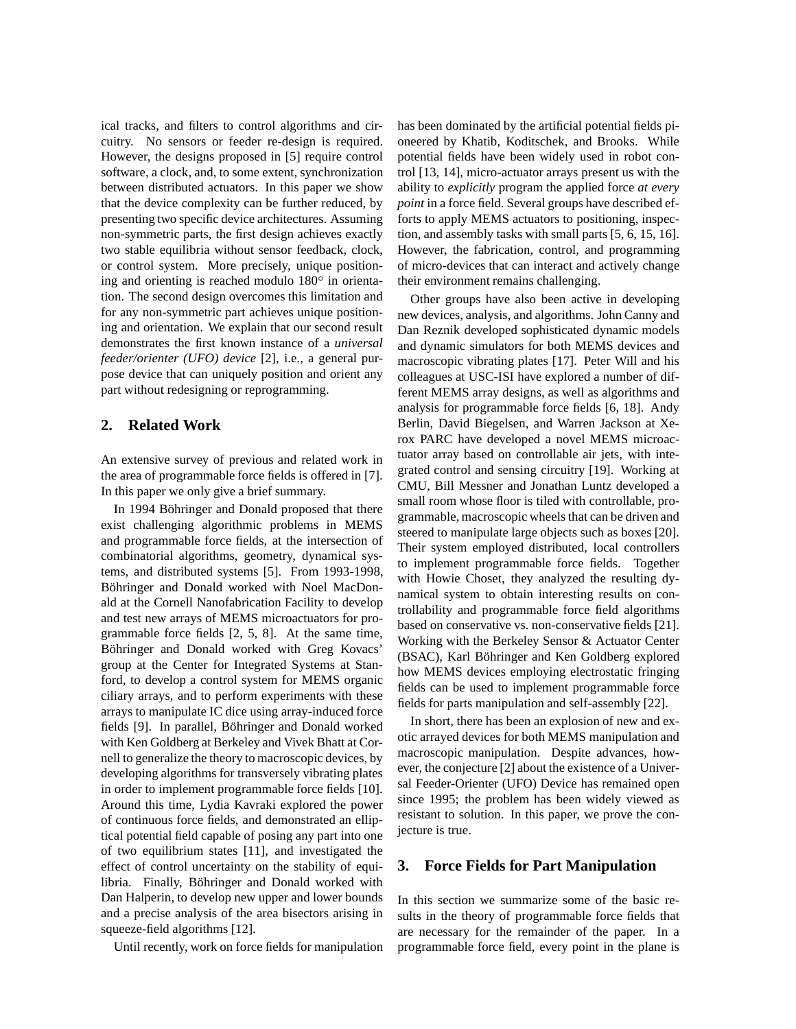ical tracks, and filters to control algorithms and circuitry. No sensors or feeder re-design is required. However, the designs proposed in [5] require control software, a clock, and, to some extent, synchronization between distributed actuators. In this paper we show that the device complexity can be further reduced, by presenting two specific device architectures. Assuming non-symmetric parts, the first design achieves exactly two stable equilibria without sensor feedback, clock, or control system. More precisely, unique positioning and orienting is reached modulo  $180^\circ$  in orientation. The second design overcomes this limitation and for any non-symmetric part achieves unique positioning and orientation. We explain that our second result demonstrates the first known instance of a *universal feeder/orienter (UFO) device* [2], i.e., a general purpose device that can uniquely position and orient any part without redesigning or reprogramming.

### **2. Related Work**

An extensive survey of previous and related work in the area of programmable force fields is offered in [7]. In this paper we only give a brief summary.

In 1994 Böhringer and Donald proposed that there exist challenging algorithmic problems in MEMS and programmable force fields, at the intersection of combinatorial algorithms, geometry, dynamical systems, and distributed systems [5]. From 1993-1998, Böhringer and Donald worked with Noel MacDonald at the Cornell Nanofabrication Facility to develop and test new arrays of MEMS microactuators for programmable force fields [2, 5, 8]. At the same time, Böhringer and Donald worked with Greg Kovacs' group at the Center for Integrated Systems at Stanford, to develop a control system for MEMS organic ciliary arrays, and to perform experiments with these arrays to manipulate IC dice using array-induced force fields [9]. In parallel, Böhringer and Donald worked with Ken Goldberg at Berkeley and Vivek Bhatt at Cornell to generalize the theory to macroscopic devices, by developing algorithms for transversely vibrating plates in order to implement programmable force fields [10]. Around this time, Lydia Kavraki explored the power of continuous force fields, and demonstrated an elliptical potential field capable of posing any part into one of two equilibrium states [11], and investigated the effect of control uncertainty on the stability of equilibria. Finally, Böhringer and Donald worked with Dan Halperin, to develop new upper and lower bounds and a precise analysis of the area bisectors arising in squeeze-field algorithms [12].

Until recently, work on force fields for manipulation

has been dominated by the artificial potential fields pioneered by Khatib, Koditschek, and Brooks. While potential fields have been widely used in robot control [13, 14], micro-actuator arrays present us with the ability to *explicitly* program the applied force *at every point* in a force field. Several groups have described efforts to apply MEMS actuators to positioning, inspection, and assembly tasks with small parts [5, 6, 15, 16]. However, the fabrication, control, and programming of micro-devices that can interact and actively change their environment remains challenging.

Other groups have also been active in developing new devices, analysis, and algorithms. John Canny and Dan Reznik developed sophisticated dynamic models and dynamic simulators for both MEMS devices and macroscopic vibrating plates [17]. Peter Will and his colleagues at USC-ISI have explored a number of different MEMS array designs, as well as algorithms and analysis for programmable force fields [6, 18]. Andy Berlin, David Biegelsen, and Warren Jackson at Xerox PARC have developed a novel MEMS microactuator array based on controllable air jets, with integrated control and sensing circuitry [19]. Working at CMU, Bill Messner and Jonathan Luntz developed a small room whose floor is tiled with controllable, programmable, macroscopic wheels that can be driven and steered to manipulate large objects such as boxes [20]. Their system employed distributed, local controllers to implement programmable force fields. Together with Howie Choset, they analyzed the resulting dynamical system to obtain interesting results on controllability and programmable force field algorithms based on conservative vs. non-conservative fields [21]. Working with the Berkeley Sensor & Actuator Center (BSAC), Karl Böhringer and Ken Goldberg explored how MEMS devices employing electrostatic fringing fields can be used to implement programmable force fields for parts manipulation and self-assembly [22].

In short, there has been an explosion of new and exotic arrayed devices for both MEMS manipulation and macroscopic manipulation. Despite advances, however, the conjecture [2] about the existence of a Universal Feeder-Orienter (UFO) Device has remained open since 1995; the problem has been widely viewed as resistant to solution. In this paper, we prove the conjecture is true.

### **3. Force Fields for Part Manipulation**

In this section we summarize some of the basic results in the theory of programmable force fields that are necessary for the remainder of the paper. In a programmable force field, every point in the plane is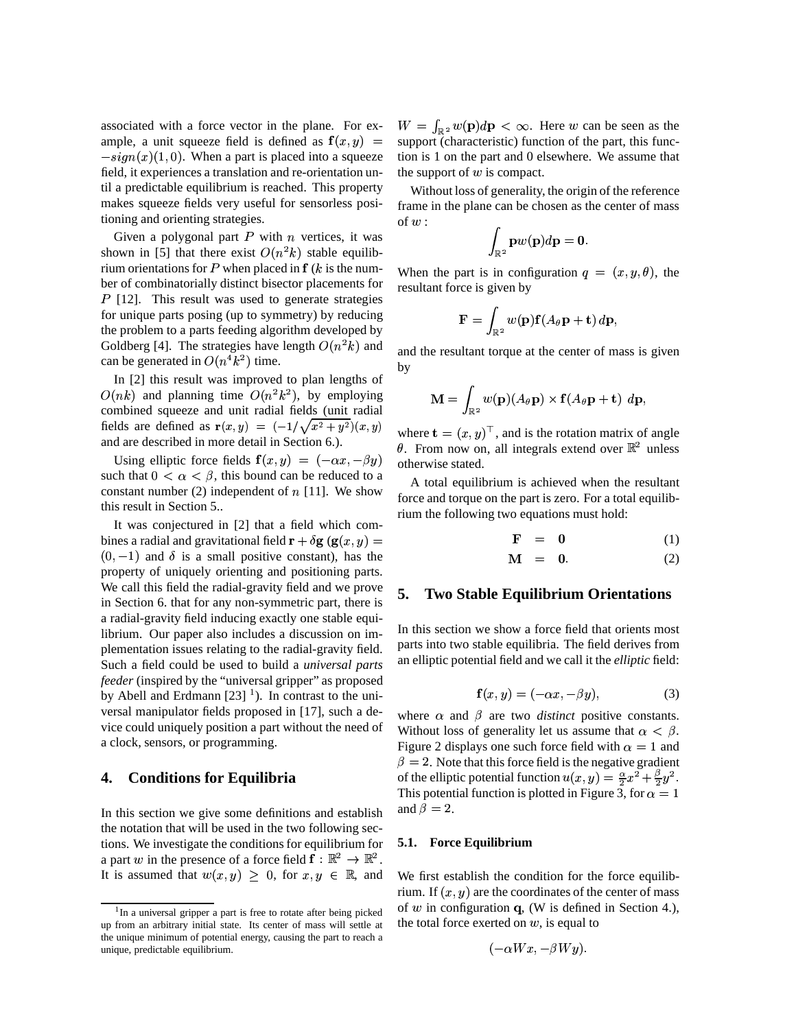associated with a force vector in the plane. For example, a unit squeeze field is defined as  $f(x, y) =$  $-sign(x)(1,0)$ . When a part is placed into a squeeze field, it experiences a translation and re-orientation until a predictable equilibrium is reached. This property makes squeeze fields very useful for sensorless positioning and orienting strategies.

Given a polygonal part  $P$  with  $n$  vertices, it was shown in [5] that there exist  $O(n^2k)$  stable equilibrium orientations for P when placed in  $f(k)$  is the number of combinatorially distinct bisector placements for  $P$  [12]. This result was used to generate strategies for unique parts posing (up to symmetry) by reducing the problem to a parts feeding algorithm developed by Goldberg [4]. The strategies have length  $O(n^2k)$  and can be generated in  $O(n^4k^2)$  time.

In [2] this result was improved to plan lengths of  $O(nk)$  and planning time  $O(n^2k^2)$ , by employing combined squeeze and unit radial fields (unit radial fields are defined as  $\mathbf{r}(x, y) = (-1/\sqrt{x^2 + y^2})(x, y)$ and are described in more detail in Section 6.).

Using elliptic force fields  $f(x, y) = (-\alpha x, -\beta y)$  other such that  $0 < \alpha < \beta$ , this bound can be reduced to a constant number  $(2)$  independent of  $n$  [11]. We show this result in Section 5..

It was conjectured in [2] that a field which combines a radial and gravitational field  $\mathbf{r} + \delta \mathbf{g} \left( \mathbf{g}(x, y) \right) =$  $(0, -1)$  and  $\delta$  is a small positive constant), has the property of uniquely orienting and positioning parts. We call this field the radial-gravity field and we prove in Section 6. that for any non-symmetric part, there is a radial-gravity field inducing exactly one stable equilibrium. Our paper also includes a discussion on implementation issues relating to the radial-gravity field. Such a field could be used to build a *universal parts feeder* (inspired by the "universal gripper" as proposed by Abell and Erdmann  $[23]$ <sup>1</sup>). In contrast to the universal manipulator fields proposed in [17], such a device could uniquely position a part without the need of a clock, sensors, or programming.

### **4. Conditions for Equilibria**

In this section we give some definitions and establish the notation that will be used in the two following sections. We investigate the conditions for equilibrium for a part w in the presence of a force field  $f : \mathbb{R}^2 \to \mathbb{R}^2$ . It is assumed that  $w(x, y) \geq 0$ , for  $x, y \in \mathbb{R}$ , and We

 $s(y)$  = support (characteristic) function of the part, this func- $W = \int_{\mathbb{R}^2} w(\mathbf{p}) d\mathbf{p} < \infty$ . Here w can be seen as the tion is 1 on the part and 0 elsewhere. We assume that the support of  $w$  is compact.

> Without loss of generality, the origin of the reference frame in the plane can be chosen as the center of mass of  $w:$

$$
\int_{\mathbb{R}^2} \mathbf{p} w(\mathbf{p}) d\mathbf{p} = \mathbf{0}.
$$

When the part is in configuration  $q = (x, y, \theta)$ , the resultant force is given by

$$
\mathbf{F} = \int_{\mathbb{R}^2} w(\mathbf{p}) \mathbf{f}(A_\theta \mathbf{p} + \mathbf{t}) \, d\mathbf{p},
$$

and the resultant torque at the center of mass is given by the contract of  $\mathbf{b}$ 

$$
\mathbf{M} = \int_{\mathbb{R}^2} w(\mathbf{p})(A_{\theta} \mathbf{p}) \times \mathbf{f}(A_{\theta} \mathbf{p} + \mathbf{t}) \, d\mathbf{p},
$$

where  $\mathbf{t} = (x, y)^\top$ , and is the rotation matrix of angle  $\theta$ . From now on, all integrals extend over  $\mathbb{R}^2$  unless otherwise stated.

A total equilibrium is achieved when the resultant force and torque on the part is zero. For a total equilibrium the following two equations must hold:

$$
\mathbf{F} = \mathbf{0} \tag{1}
$$

$$
\mathbf{M} = \mathbf{0}.\tag{2}
$$

### **5. Two Stable Equilibrium Orientations**

In this section we show a force field that orients most parts into two stable equilibria. The field derives from an elliptic potential field and we call it the *elliptic* field:

$$
\mathbf{f}(x,y) = (-\alpha x, -\beta y),\tag{3}
$$

where  $\alpha$  and  $\beta$  are two *distinct* positive constants. Without loss of generality let us assume that  $\alpha < \beta$ . Figure 2 displays one such force field with  $\alpha = 1$  and  $\beta = 2$ . Note that this force field is the negative gradient of the elliptic potential function  $u(x, y) = \frac{\alpha}{2}x^2 + \frac{\beta}{2}y^2$ . This potential function is plotted in Figure 3, for  $\alpha = 1$ and  $\beta = 2$ .

#### **5.1. Force Equilibrium**

We first establish the condition for the force equilibrium. If  $(x, y)$  are the coordinates of the center of mass of  $w$  in configuration  $q$ , (W is defined in Section 4.), the total force exerted on  $w$ , is equal to

$$
(-\alpha Wx, -\beta Wy).
$$

<sup>&</sup>lt;sup>1</sup>In a universal gripper a part is free to rotate after being picked up from an arbitrary initial state. Its center of mass will settle at the unique minimum of potential energy, causing the part to reach a unique, predictable equilibrium.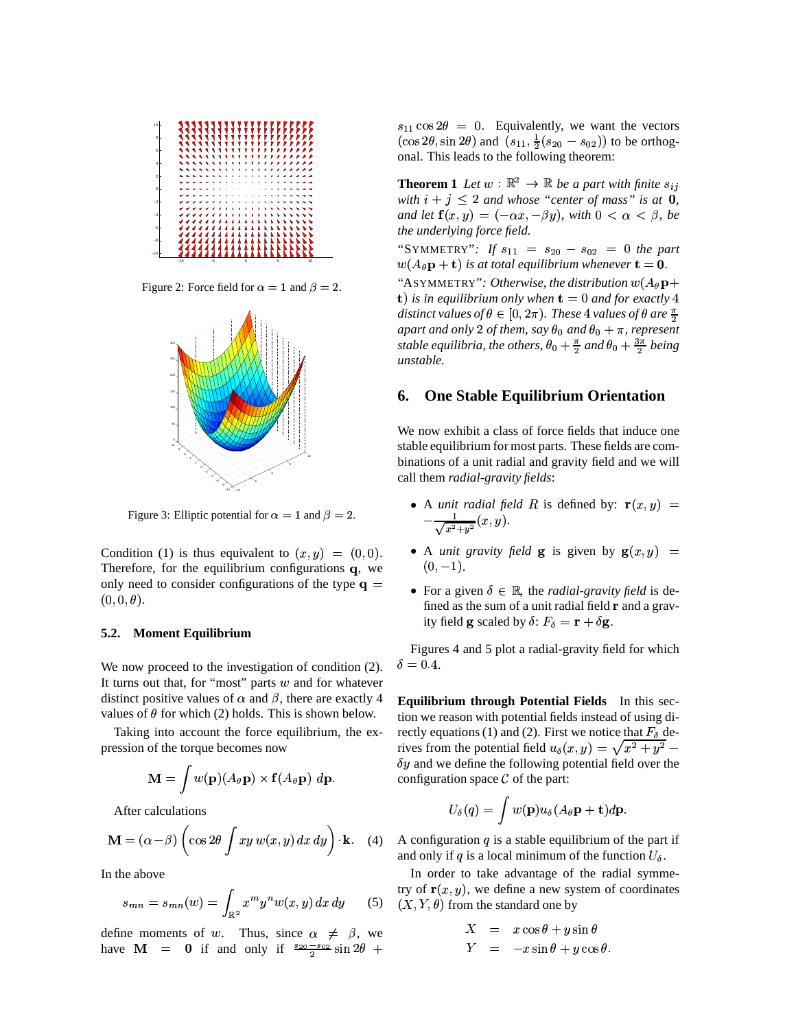

Figure 2: Force field for  $\alpha = 1$  and  $\beta = 2$ .



Figure 3: Elliptic potential for  $\alpha = 1$  and  $\beta = 2$ .

Condition (1) is thus equivalent to  $(x, y) = (0, 0)$ .  $\bullet$ Therefore, for the equilibrium configurations  $q$ , we only need to consider configurations of the type  $\mathbf{q} =$  $(0,0,\theta).$ 

#### **5.2. Moment Equilibrium**

We now proceed to the investigation of condition  $(2)$ . It turns out that, for "most" parts  $w$  and for whatever distinct positive values of  $\alpha$  and  $\beta$ , there are exactly 4 values of  $\theta$  for which (2) holds. This is shown below.

Taking into account the force equilibrium, the expression of the torque becomes now <sup>&</sup>lt;

$$
\mathbf{M} = \int w(\mathbf{p})(A_{\theta} \mathbf{p}) \times \mathbf{f}(A_{\theta} \mathbf{p}) \, d\mathbf{p}.
$$

<sup>&</sup>lt;After calculations

$$
\mathbf{M} = (\alpha - \beta) \left( \cos 2\theta \int xy \, w(x, y) \, dx \, dy \right) \cdot \mathbf{k}.
$$
 (4)

In the above

$$
s_{mn} = s_{mn}(w) = \int_{\mathbb{R}^2} x^m y^n w(x, y) \, dx \, dy \qquad (5)
$$

define moments of w. Thus, since  $\alpha \neq \beta$ , we define moments of w. Th<br>have  $\mathbf{M} = \mathbf{0}$  if and  $\alpha$  $=$  0 if and only if  $\frac{s_{20}-s_{02}}{2}\sin 2\theta +$ #

 $s_{11} \cos 2\theta = 0$ . Equivalently, we want the vectors  $(\cos 2\theta, \sin 2\theta)$  and  $(s_{11}, \frac{1}{2}(s_{20} - s_{02}))$  to be orthogonal. This leads to the following theorem:

**Theorem 1** Let  $w : \mathbb{R}^2 \to \mathbb{R}$  be a part with finite  $s_{ij}$ *with*  $i + j \leq 2$  and whose "center of mass" is at  $\mathbf{0}$ , *and let*  $f(x,y) = (-\alpha x, -\beta y)$ , with  $0 < \alpha < \beta$ , be *the underlying force field.*

"SYMMETRY": If  $s_{11} = s_{20} - s_{02} = 0$  the part  $w(A_\theta\mathbf{p}+\mathbf{t})$  is at total equilibrium whenever  $\mathbf{t}=\mathbf{0}.$ "ASYMMETRY": Otherwise, the distribution  $w(A_{\theta}{\bf p} +$ **t**) is in equilibrium only when  $t = 0$  and for exactly  $4$ *distinct values of*  $\theta \in [0, 2\pi)$ . These 4 values of  $\theta$  are  $\frac{\pi}{2}$ apart and only 2 of them, say  $\theta_0$  and  $\theta_0 + \pi$ , represent *stable equilibria, the others,*  $\theta_0 + \frac{\pi}{2}$  *and*  $\theta_0 + \frac{3\pi}{2}$  *being unstable.*

### **6. One Stable Equilibrium Orientation**

We now exhibit a class of force fields that induce one stable equilibrium for most parts. These fields are combinations of a unit radial and gravity field and we will call them *radial-gravity fields*:

- A *unit radial field* R is defined by:  $\mathbf{r}(x, y) =$  $-\frac{1}{\sqrt{2-x^2}}(x,y).$
- A *unit gravity field* **g** is given by  $g(x, y) =$  $(0,-1).$
- For a given  $\delta \in \mathbb{R}$ , the *radial-gravity field* is defined as the sum of a unit radial field  $\bf{r}$  and a gravity field **g** scaled by  $\delta$ :  $F_{\delta} = \mathbf{r} + \delta \mathbf{g}$ .

Figures 4 and 5 plot a radial-gravity field for which  $\delta = 0.4$ .

**Equilibrium through Potential Fields** In this section we reason with potential fields instead of using directly equations (1) and (2). First we notice that  $F_{\delta}$  derives from the potential field  $u_{\delta}(x, y) = \sqrt{x^2 + y^2} \delta y$  and we define the following potential field over the configuration space  $\mathcal C$  of the part:

$$
U_\delta(q)=\int w({\bf p}) u_\delta(A_\theta {\bf p}+{\bf t}) d{\bf p}.
$$

 $dy$  | **k**. (4) A configuration q is a stable equilibrium of the part if and only if q is a local minimum of the function  $U_{\delta}$ .

> In order to take advantage of the radial symmetry of  $\mathbf{r}(x, y)$ , we define a new system of coordinates  $(X, Y, \theta)$  from the standard one by

$$
X = x \cos \theta + y \sin \theta
$$
  
\n
$$
Y = -x \sin \theta + y \cos \theta.
$$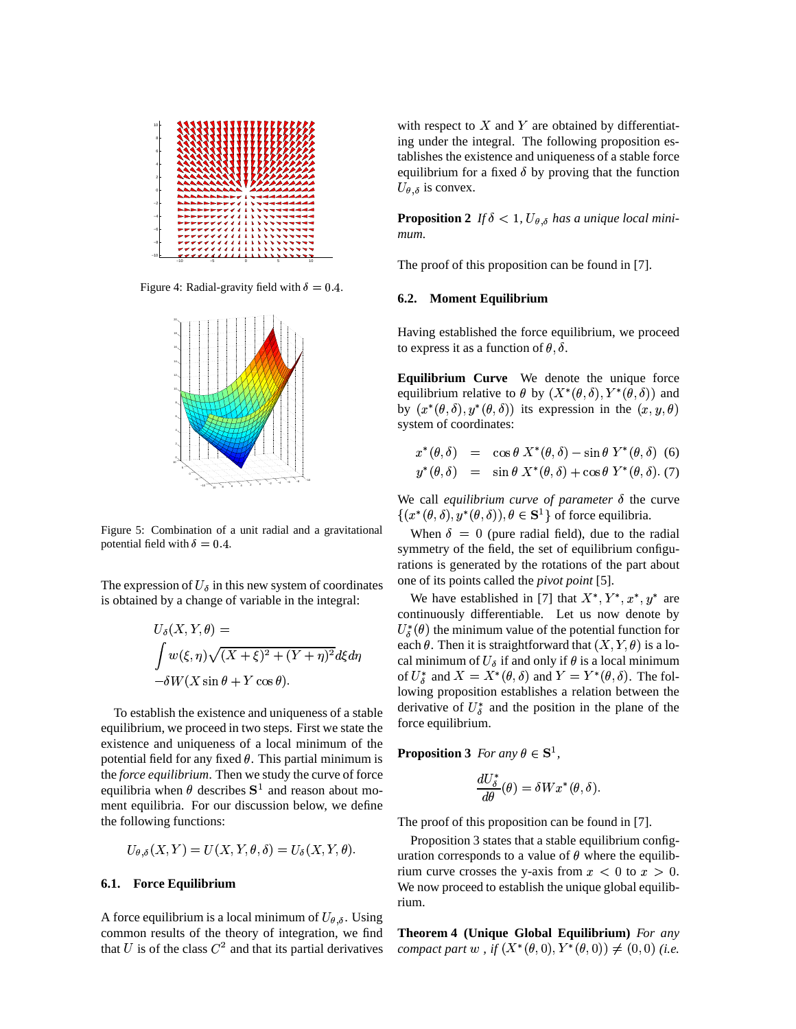

Figure 4: Radial-gravity field with  $\delta = 0.4$ .



Figure 5: Combination of a unit radial and a gravitational potential field with  $\delta = 0.4$ .

The expression of  $U_{\delta}$  in this new system of coordinates is obtained by a change of variable in the integral:

$$
U_{\delta}(X, Y, \theta) = U_{\delta}
$$
  
\n
$$
\int w(\xi, \eta) \sqrt{(X + \xi)^2 + (Y + \eta)^2} d\xi d\eta
$$
  
\n
$$
-\delta W(X \sin \theta + Y \cos \theta).
$$
  
\n
$$
U_{\delta}
$$
  
\n
$$
U_{\delta}
$$
  
\n
$$
\cos \theta
$$

To establish the existence and uniqueness of a stable equilibrium, we proceed in two steps. First we state the existence and uniqueness of a local minimum of the potential field for any fixed  $\theta$ . This partial minimum is the *force equilibrium*. Then we study the curve of force equilibria when  $\theta$  describes  $S^1$  and reason about moment equilibria. For our discussion below, we define the following functions:

$$
U_{\theta,\delta}(X,Y) = U(X,Y,\theta,\delta) = U_{\delta}(X,Y,\theta).
$$

### **6.1. Force Equilibrium**

A force equilibrium is a local minimum of  $U_{\theta, \delta}$ . Using common results of the theory of integration, we find that U is of the class  $C^2$  and that its partial derivatives

with respect to  $X$  and  $Y$  are obtained by differentiating under the integral. The following proposition establishes the existence and uniqueness of a stable force equilibrium for a fixed  $\delta$  by proving that the function  $U_{\theta,\delta}$  is convex.

**Proposition 2** If  $\delta$  < 1,  $U_{\theta, \delta}$  has a unique local mini*mum.*

The proof of this proposition can be found in [7].

### **6.2. Moment Equilibrium**

Having established the force equilibrium, we proceed to express it as a function of  $\theta$ ,  $\delta$ .

**Equilibrium Curve** We denote the unique force equilibrium relative to  $\theta$  by  $(X^*(\theta, \delta), Y^*(\theta, \delta))$  and by  $(x^{\ast}(\theta,\delta), y^{\ast}(\theta,\delta))$  its expression in the  $(x,y,\theta)$ system of coordinates:

 $x^*(\theta, \delta) = \cos \theta X^*(\theta, \delta) - \sin \theta Y^*(\theta, \delta)$  (6)  $y^*(\theta, \delta) = \sin \theta X^*(\theta, \delta) + \cos \theta Y^*(\theta, \delta)$ . (7)

We call *equilibrium curve of parameter*  $\delta$  the curve  $\{(x^*(\theta, \delta), y^*(\theta, \delta)), \theta \in \mathbf{S}^1\}$  of force equilibria.

When  $\delta = 0$  (pure radial field), due to the radial symmetry of the field, the set of equilibrium configurations is generated by the rotations of the part about one of its points called the *pivot point* [5].

We have established in [7] that  $X^*, Y^*, x^*, y^*$  are continuously differentiable. Let us now denote by  $U_{\delta}^{*}(\theta)$  the minimum value of the potential function for each  $\theta$ . Then it is straightforward that  $(X, Y, \theta)$  is a local minimum of  $U_{\delta}$  if and only if  $\theta$  is a local minimum of  $U_{\delta}^*$  and  $X = X^*(\theta, \delta)$  and  $Y = Y^*(\theta, \delta)$ . The following proposition establishes a relation between the derivative of  $U^*_{\delta}$  and the position in the plane of the force equilibrium.

**Proposition 3** *For any*  $\theta \in S^1$ ,

$$
\frac{dU_{\delta}^*}{d\theta}(\theta)=\delta Wx^*(\theta,\delta).
$$

The proof of this proposition can be found in [7].

Proposition 3 states that a stable equilibrium configuration corresponds to a value of  $\theta$  where the equilibrium curve crosses the y-axis from  $x < 0$  to  $x > 0$ . We now proceed to establish the unique global equilibrium.

**Theorem 4 (Unique Global Equilibrium)** *For any compact part* w, if  $(X^*(\theta, 0), Y^*(\theta, 0)) \neq (0, 0)$  (i.e.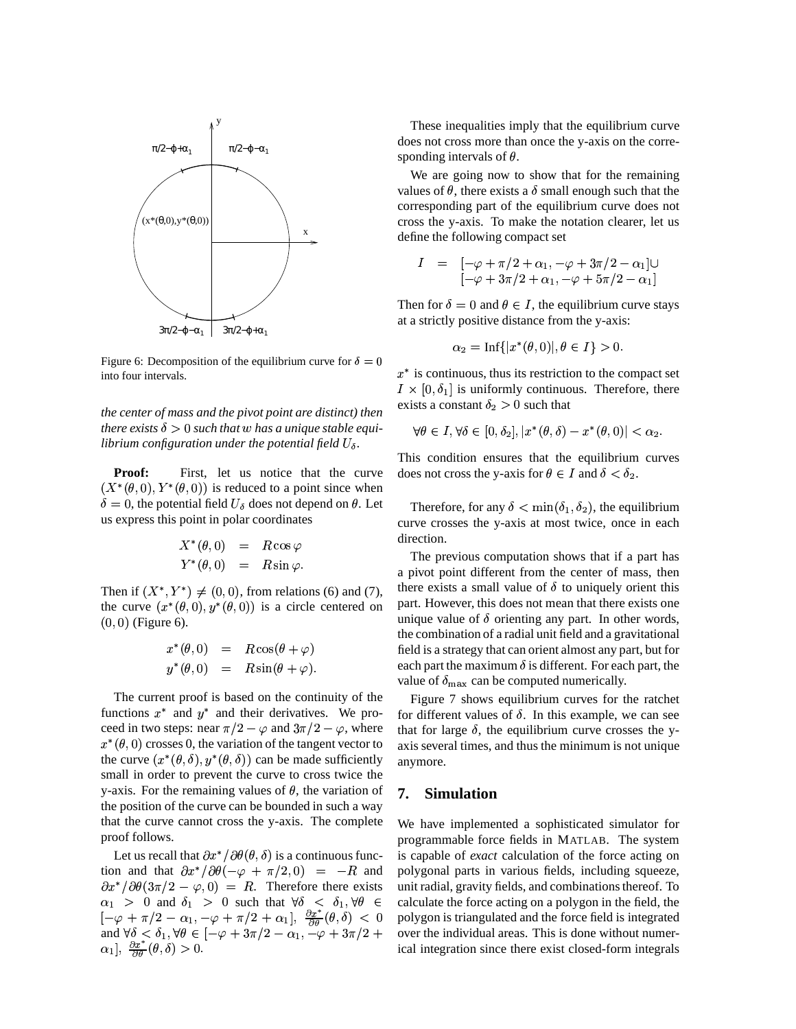

Figure 6: Decomposition of the equilibrium curve for  $\delta = 0$ into four intervals.

*the center of mass and the pivot point are distinct) then* there exists  $\delta > 0$  such that  $w$  has a unique stable equilibrium configuration under the potential field  $U_{\delta}$ .

**Proof:** First, let us notice that the curve  $(X^*(\theta,0), Y^*(\theta,0))$  is reduced to a point since when  $\delta = 0$ , the potential field  $U_{\delta}$  does not depend on  $\theta$ . Let us express this point in polar coordinates

$$
X^*(\theta,0) = R\cos\varphi
$$
  

$$
Y^*(\theta,0) = R\sin\varphi.
$$

Then if  $(X^*, Y^*) \neq (0,0)$ , from relations (6) and (7), the curve  $(x^*(\theta,0), y^*(\theta,0))$  is a circle centered on  $(0,0)$  (Figure 6).

$$
x^{\ast}(\theta,0) = R\cos(\theta + \varphi)
$$
  

$$
y^{\ast}(\theta,0) = R\sin(\theta + \varphi).
$$

The current proof is based on the continuity of the functions  $x^*$  and  $y^*$  and their derivatives. We proceed in two steps: near  $\pi/2 - \varphi$  and  $3\pi/2 - \varphi$ , where the  $x^*(\theta, 0)$  crosses 0, the variation of the tangent vector to the curve  $(x^*(\theta, \delta), y^*(\theta, \delta))$  can be made sufficiently small in order to prevent the curve to cross twice the y-axis. For the remaining values of  $\theta$ , the variation of the position of the curve can be bounded in such a way that the curve cannot cross the y-axis. The complete proof follows.

Let us recall that  $\partial x^* / \partial \theta(\theta, \delta)$  is a continuous function and that  $\partial x^* / \partial \theta (-\varphi + \pi/2, 0) = -R$  and polyge  $\partial x^* / \partial \theta (3\pi/2 - \varphi, 0) = R$ . Therefore there exists  $\alpha_1 > 0$  and  $\delta_1 > 0$  such that  $\forall \delta < \delta_1, \forall \theta \in \Theta$  $[-\varphi + \pi/2 - \alpha_1, -\varphi + \pi/2 + \alpha_1], \frac{\partial x^*}{\partial \theta}(\theta, \delta) < 0$  pol  $[-\varphi + \pi/2 - \alpha_1, -\varphi + \pi/2 + \alpha_1], \frac{\partial x}{\partial \theta}(\theta, \delta) < 0$  poly<br>and  $\forall \delta < \delta_1, \forall \theta \in [-\varphi + 3\pi/2 - \alpha_1, -\varphi + 3\pi/2 + \text{over}$  $\alpha$ .  $\frac{\partial x^*}{\partial \theta}$  (A  $\hat{\lambda}$ )  $\frac{\partial x}{\partial \theta}(\theta, \delta) > 0.$ 

These inequalities imply that the equilibrium curve does not cross more than once the y-axis on the corresponding intervals of  $\theta$ .

We are going now to show that for the remaining values of  $\theta$ , there exists a  $\delta$  small enough such that the corresponding part of the equilibrium curve does not cross the y-axis. To make the notation clearer, let us define the following compact set

$$
I = [-\varphi + \pi/2 + \alpha_1, -\varphi + 3\pi/2 - \alpha_1] \cup
$$
  

$$
[-\varphi + 3\pi/2 + \alpha_1, -\varphi + 5\pi/2 - \alpha_1]
$$

Then for  $\delta = 0$  and  $\theta \in I$ , the equilibrium curve stays at a strictly positive distance from the y-axis:

$$
\alpha_2 = \text{Inf}\{|x^*(\theta, 0)|, \theta \in I\} > 0.
$$

 $x^*$  is continuous, thus its restriction to the compact set  $I \times [0, \delta_1]$  is uniformly continuous. Therefore, there exists a constant  $\delta_2 > 0$  such that

$$
\forall \theta \in I, \forall \delta \in [0, \delta_2], |x^*(\theta, \delta) - x^*(\theta, 0)| < \alpha_2.
$$

This condition ensures that the equilibrium curves does not cross the y-axis for  $\theta \in I$  and  $\delta < \delta_2$ .

Therefore, for any  $\delta < \min(\delta_1, \delta_2)$ , the equilibrium the contract of the contract of the contract of the contract of the contract of curve crosses the y-axis at most twice, once in each direction.

The previous computation shows that if a part has a pivot point different from the center of mass, then there exists a small value of  $\delta$  to uniquely orient this part. However, this does not mean that there exists one unique value of  $\delta$  orienting any part. In other words, the combination of a radial unit field and a gravitational field is a strategy that can orient almost any part, but for each part the maximum  $\delta$  is different. For each part, the value of  $\delta_{\text{max}}$  can be computed numerically.

Figure 7 shows equilibrium curves for the ratchet for different values of  $\delta$ . In this example, we can see that for large  $\delta$ , the equilibrium curve crosses the yaxis several times, and thus the minimum is not unique anymore.

### **7. Simulation**

 $\theta \in$  calculate the force acting on a polygon in the field, the  $)$  < 0 polygon is triangulated and the force field is integrated + over the individual areas. This is done without numer-We have implemented a sophisticated simulator for programmable force fields in MATLAB. The system is capable of *exact* calculation of the force acting on polygonal parts in various fields, including squeeze, unit radial, gravity fields, and combinations thereof. To ical integration since there exist closed-form integrals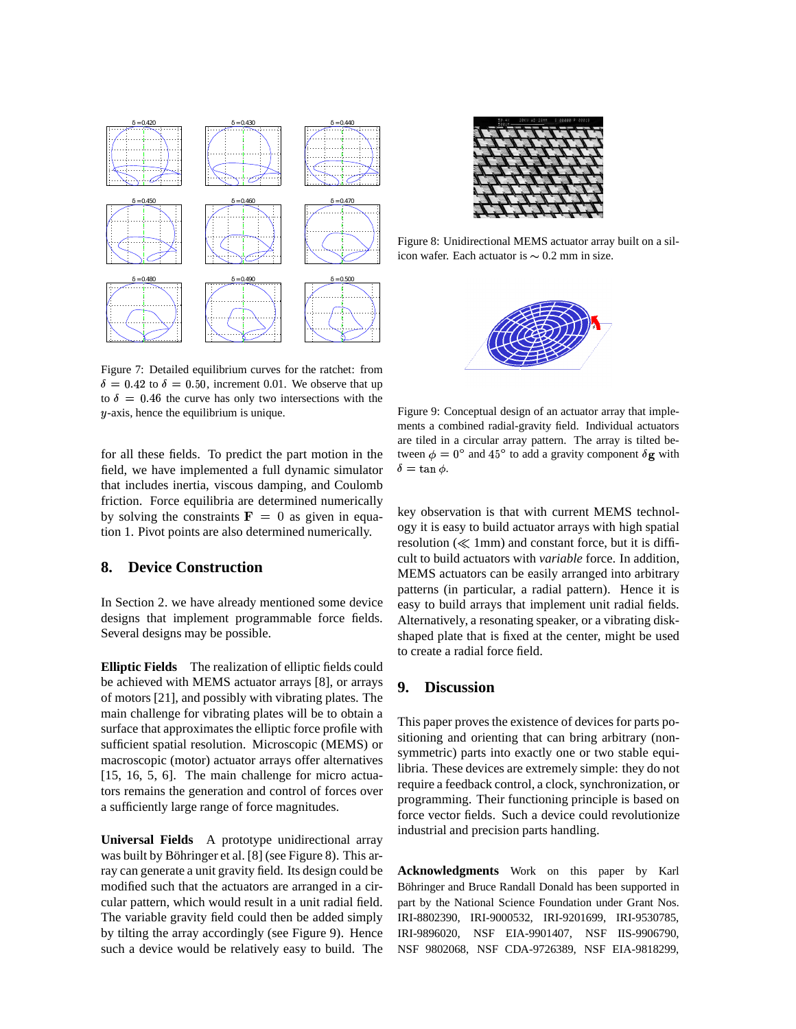

Figure 7: Detailed equilibrium curves for the ratchet: from  $\delta = 0.42$  to  $\delta = 0.50$ , increment 0.01. We observe that up to  $\delta = 0.46$  the curve has only two intersections with the  $y$ -axis, hence the equilibrium is unique.

for all these fields. To predict the part motion in the field, we have implemented a full dynamic simulator that includes inertia, viscous damping, and Coulomb friction. Force equilibria are determined numerically by solving the constraints  $\mathbf{F} = 0$  as given in equation 1. Pivot points are also determined numerically.

# **8. Device Construction**

In Section 2. we have already mentioned some device designs that implement programmable force fields. Several designs may be possible.

**Elliptic Fields** The realization of elliptic fields could be achieved with MEMS actuator arrays [8], or arrays of motors [21], and possibly with vibrating plates. The main challenge for vibrating plates will be to obtain a surface that approximates the elliptic force profile with sufficient spatial resolution. Microscopic (MEMS) or macroscopic (motor) actuator arrays offer alternatives [15, 16, 5, 6]. The main challenge for micro actuators remains the generation and control of forces over a sufficiently large range of force magnitudes.

**Universal Fields** A prototype unidirectional array was built by Böhringer et al. [8] (see Figure 8). This array can generate a unit gravity field. Its design could be modified such that the actuators are arranged in a circular pattern, which would result in a unit radial field. The variable gravity field could then be added simply by tilting the array accordingly (see Figure 9). Hence such a device would be relatively easy to build. The



Figure 8: Unidirectional MEMS actuator array built on a silicon wafer. Each actuator is  $\sim 0.2$  mm in size.



Figure 9: Conceptual design of an actuator array that implements a combined radial-gravity field. Individual actuators are tiled in a circular array pattern. The array is tilted between  $\phi = 0^{\circ}$  and  $45^{\circ}$  to add a gravity component  $\delta g$  with  $\delta = \tan \phi$ .

key observation is that with current MEMS technology it is easy to build actuator arrays with high spatial resolution  $(\ll 1$ mm) and constant force, but it is difficult to build actuators with *variable* force. In addition, MEMS actuators can be easily arranged into arbitrary patterns (in particular, a radial pattern). Hence it is easy to build arrays that implement unit radial fields. Alternatively, a resonating speaker, or a vibrating diskshaped plate that is fixed at the center, might be used to create a radial force field.

### **9. Discussion**

This paper proves the existence of devices for parts positioning and orienting that can bring arbitrary (nonsymmetric) parts into exactly one or two stable equilibria. These devices are extremely simple: they do not require a feedback control, a clock, synchronization, or programming. Their functioning principle is based on force vector fields. Such a device could revolutionize industrial and precision parts handling.

**Acknowledgments** Work on this paper by Karl Böhringer and Bruce Randall Donald has been supported in part by the National Science Foundation under Grant Nos. IRI-8802390, IRI-9000532, IRI-9201699, IRI-9530785, IRI-9896020, NSF EIA-9901407, NSF IIS-9906790, NSF 9802068, NSF CDA-9726389, NSF EIA-9818299,